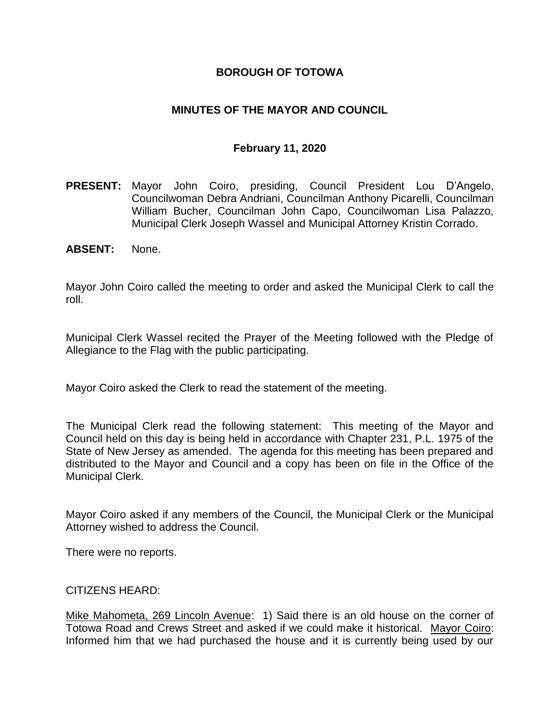# **BOROUGH OF TOTOWA**

# **MINUTES OF THE MAYOR AND COUNCIL**

### **February 11, 2020**

- **PRESENT:** Mayor John Coiro, presiding, Council President Lou D'Angelo, Councilwoman Debra Andriani, Councilman Anthony Picarelli, Councilman William Bucher, Councilman John Capo, Councilwoman Lisa Palazzo, Municipal Clerk Joseph Wassel and Municipal Attorney Kristin Corrado.
- **ABSENT:** None.

Mayor John Coiro called the meeting to order and asked the Municipal Clerk to call the roll.

Municipal Clerk Wassel recited the Prayer of the Meeting followed with the Pledge of Allegiance to the Flag with the public participating.

Mayor Coiro asked the Clerk to read the statement of the meeting.

The Municipal Clerk read the following statement: This meeting of the Mayor and Council held on this day is being held in accordance with Chapter 231, P.L. 1975 of the State of New Jersey as amended. The agenda for this meeting has been prepared and distributed to the Mayor and Council and a copy has been on file in the Office of the Municipal Clerk.

Mayor Coiro asked if any members of the Council, the Municipal Clerk or the Municipal Attorney wished to address the Council.

There were no reports.

#### CITIZENS HEARD:

Mike Mahometa, 269 Lincoln Avenue: 1) Said there is an old house on the corner of Totowa Road and Crews Street and asked if we could make it historical. Mayor Coiro: Informed him that we had purchased the house and it is currently being used by our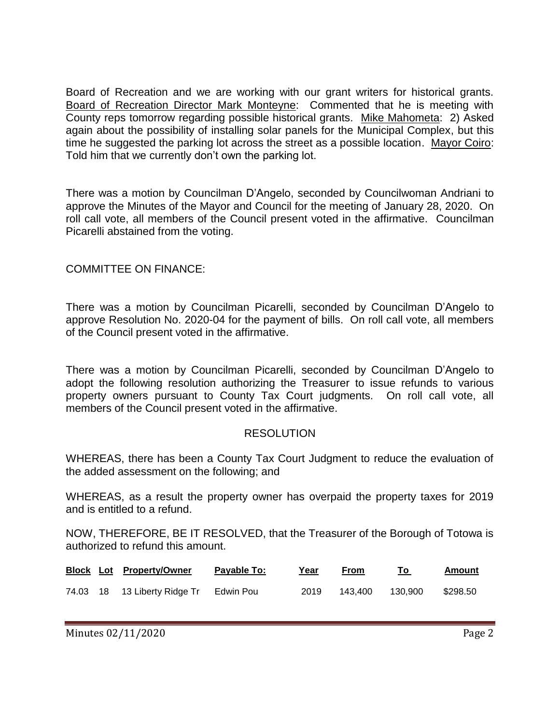Board of Recreation and we are working with our grant writers for historical grants. Board of Recreation Director Mark Monteyne: Commented that he is meeting with County reps tomorrow regarding possible historical grants. Mike Mahometa: 2) Asked again about the possibility of installing solar panels for the Municipal Complex, but this time he suggested the parking lot across the street as a possible location. Mayor Coiro: Told him that we currently don't own the parking lot.

There was a motion by Councilman D'Angelo, seconded by Councilwoman Andriani to approve the Minutes of the Mayor and Council for the meeting of January 28, 2020. On roll call vote, all members of the Council present voted in the affirmative. Councilman Picarelli abstained from the voting.

COMMITTEE ON FINANCE:

There was a motion by Councilman Picarelli, seconded by Councilman D'Angelo to approve Resolution No. 2020-04 for the payment of bills. On roll call vote, all members of the Council present voted in the affirmative.

There was a motion by Councilman Picarelli, seconded by Councilman D'Angelo to adopt the following resolution authorizing the Treasurer to issue refunds to various property owners pursuant to County Tax Court judgments. On roll call vote, all members of the Council present voted in the affirmative.

#### **RESOLUTION**

WHEREAS, there has been a County Tax Court Judgment to reduce the evaluation of the added assessment on the following; and

WHEREAS, as a result the property owner has overpaid the property taxes for 2019 and is entitled to a refund.

NOW, THEREFORE, BE IT RESOLVED, that the Treasurer of the Borough of Totowa is authorized to refund this amount.

|  | <b>Block Lot Property/Owner</b> | Payable To: | Year | From    |         | Amount   |
|--|---------------------------------|-------------|------|---------|---------|----------|
|  | 74.03 18 13 Liberty Ridge Tr    | Edwin Pou   | 2019 | 143.400 | 130.900 | \$298.50 |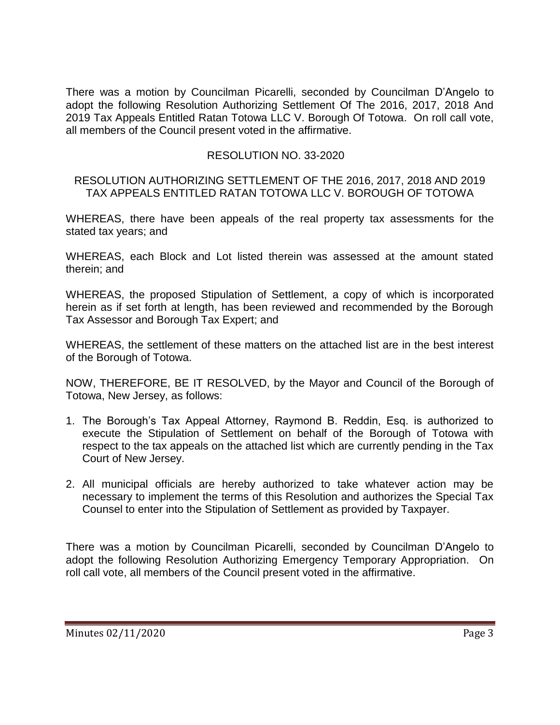There was a motion by Councilman Picarelli, seconded by Councilman D'Angelo to adopt the following Resolution Authorizing Settlement Of The 2016, 2017, 2018 And 2019 Tax Appeals Entitled Ratan Totowa LLC V. Borough Of Totowa. On roll call vote, all members of the Council present voted in the affirmative.

# RESOLUTION NO. 33-2020

#### RESOLUTION AUTHORIZING SETTLEMENT OF THE 2016, 2017, 2018 AND 2019 TAX APPEALS ENTITLED RATAN TOTOWA LLC V. BOROUGH OF TOTOWA

WHEREAS, there have been appeals of the real property tax assessments for the stated tax years; and

WHEREAS, each Block and Lot listed therein was assessed at the amount stated therein; and

WHEREAS, the proposed Stipulation of Settlement, a copy of which is incorporated herein as if set forth at length, has been reviewed and recommended by the Borough Tax Assessor and Borough Tax Expert; and

WHEREAS, the settlement of these matters on the attached list are in the best interest of the Borough of Totowa.

NOW, THEREFORE, BE IT RESOLVED, by the Mayor and Council of the Borough of Totowa, New Jersey, as follows:

- 1. The Borough's Tax Appeal Attorney, Raymond B. Reddin, Esq. is authorized to execute the Stipulation of Settlement on behalf of the Borough of Totowa with respect to the tax appeals on the attached list which are currently pending in the Tax Court of New Jersey.
- 2. All municipal officials are hereby authorized to take whatever action may be necessary to implement the terms of this Resolution and authorizes the Special Tax Counsel to enter into the Stipulation of Settlement as provided by Taxpayer.

There was a motion by Councilman Picarelli, seconded by Councilman D'Angelo to adopt the following Resolution Authorizing Emergency Temporary Appropriation. On roll call vote, all members of the Council present voted in the affirmative.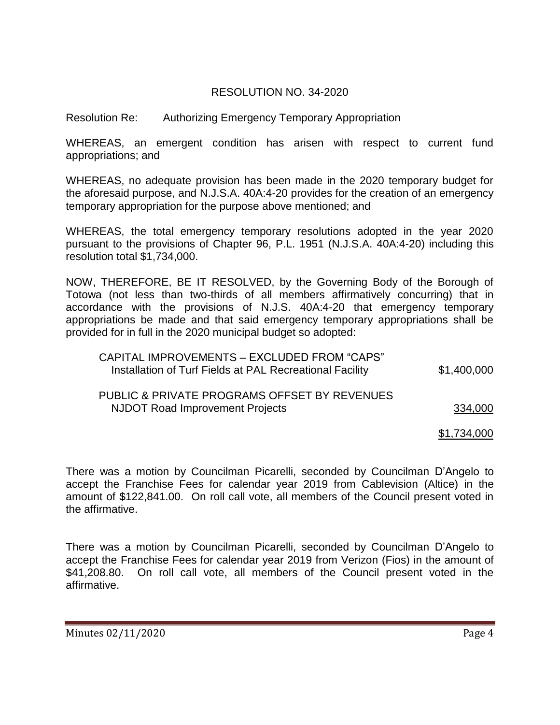# RESOLUTION NO. 34-2020

Resolution Re: Authorizing Emergency Temporary Appropriation

WHEREAS, an emergent condition has arisen with respect to current fund appropriations; and

WHEREAS, no adequate provision has been made in the 2020 temporary budget for the aforesaid purpose, and N.J.S.A. 40A:4-20 provides for the creation of an emergency temporary appropriation for the purpose above mentioned; and

WHEREAS, the total emergency temporary resolutions adopted in the year 2020 pursuant to the provisions of Chapter 96, P.L. 1951 (N.J.S.A. 40A:4-20) including this resolution total \$1,734,000.

NOW, THEREFORE, BE IT RESOLVED, by the Governing Body of the Borough of Totowa (not less than two-thirds of all members affirmatively concurring) that in accordance with the provisions of N.J.S. 40A:4-20 that emergency temporary appropriations be made and that said emergency temporary appropriations shall be provided for in full in the 2020 municipal budget so adopted:

| CAPITAL IMPROVEMENTS - EXCLUDED FROM "CAPS"<br>Installation of Turf Fields at PAL Recreational Facility | \$1,400,000 |
|---------------------------------------------------------------------------------------------------------|-------------|
| PUBLIC & PRIVATE PROGRAMS OFFSET BY REVENUES                                                            |             |
| NJDOT Road Improvement Projects                                                                         | 334,000     |

\$1,734,000

There was a motion by Councilman Picarelli, seconded by Councilman D'Angelo to accept the Franchise Fees for calendar year 2019 from Cablevision (Altice) in the amount of \$122,841.00. On roll call vote, all members of the Council present voted in the affirmative.

There was a motion by Councilman Picarelli, seconded by Councilman D'Angelo to accept the Franchise Fees for calendar year 2019 from Verizon (Fios) in the amount of \$41,208.80. On roll call vote, all members of the Council present voted in the affirmative.

Minutes 02/11/2020 Page 4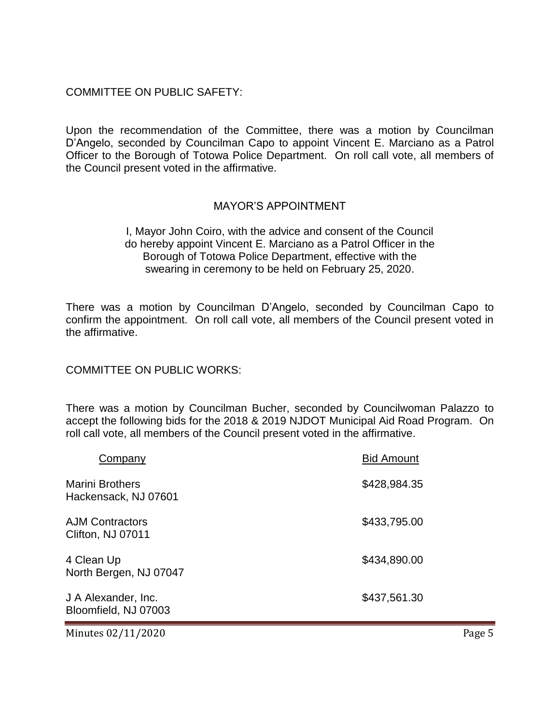### COMMITTEE ON PUBLIC SAFETY:

Upon the recommendation of the Committee, there was a motion by Councilman D'Angelo, seconded by Councilman Capo to appoint Vincent E. Marciano as a Patrol Officer to the Borough of Totowa Police Department. On roll call vote, all members of the Council present voted in the affirmative.

# MAYOR'S APPOINTMENT

I, Mayor John Coiro, with the advice and consent of the Council do hereby appoint Vincent E. Marciano as a Patrol Officer in the Borough of Totowa Police Department, effective with the swearing in ceremony to be held on February 25, 2020.

There was a motion by Councilman D'Angelo, seconded by Councilman Capo to confirm the appointment. On roll call vote, all members of the Council present voted in the affirmative.

COMMITTEE ON PUBLIC WORKS:

There was a motion by Councilman Bucher, seconded by Councilwoman Palazzo to accept the following bids for the 2018 & 2019 NJDOT Municipal Aid Road Program. On roll call vote, all members of the Council present voted in the affirmative.

| Company                                        | <b>Bid Amount</b> |
|------------------------------------------------|-------------------|
| <b>Marini Brothers</b><br>Hackensack, NJ 07601 | \$428,984.35      |
| <b>AJM Contractors</b><br>Clifton, NJ 07011    | \$433,795.00      |
| 4 Clean Up<br>North Bergen, NJ 07047           | \$434,890.00      |
| J A Alexander, Inc.<br>Bloomfield, NJ 07003    | \$437,561.30      |

Minutes 02/11/2020 Page 5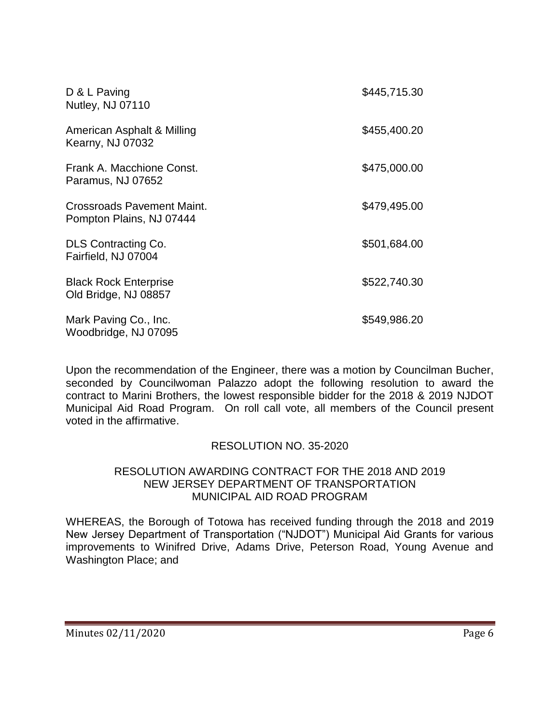| D & L Paving<br>Nutley, NJ 07110                       | \$445,715.30 |
|--------------------------------------------------------|--------------|
| American Asphalt & Milling<br><b>Kearny, NJ 07032</b>  | \$455,400.20 |
| Frank A. Macchione Const.<br>Paramus, NJ 07652         | \$475,000.00 |
| Crossroads Pavement Maint.<br>Pompton Plains, NJ 07444 | \$479,495.00 |
| DLS Contracting Co.<br>Fairfield, NJ 07004             | \$501,684.00 |
| <b>Black Rock Enterprise</b><br>Old Bridge, NJ 08857   | \$522,740.30 |
| Mark Paving Co., Inc.<br>Woodbridge, NJ 07095          | \$549,986.20 |

Upon the recommendation of the Engineer, there was a motion by Councilman Bucher, seconded by Councilwoman Palazzo adopt the following resolution to award the contract to Marini Brothers, the lowest responsible bidder for the 2018 & 2019 NJDOT Municipal Aid Road Program. On roll call vote, all members of the Council present voted in the affirmative.

#### RESOLUTION NO. 35-2020

#### RESOLUTION AWARDING CONTRACT FOR THE 2018 AND 2019 NEW JERSEY DEPARTMENT OF TRANSPORTATION MUNICIPAL AID ROAD PROGRAM

WHEREAS, the Borough of Totowa has received funding through the 2018 and 2019 New Jersey Department of Transportation ("NJDOT") Municipal Aid Grants for various improvements to Winifred Drive, Adams Drive, Peterson Road, Young Avenue and Washington Place; and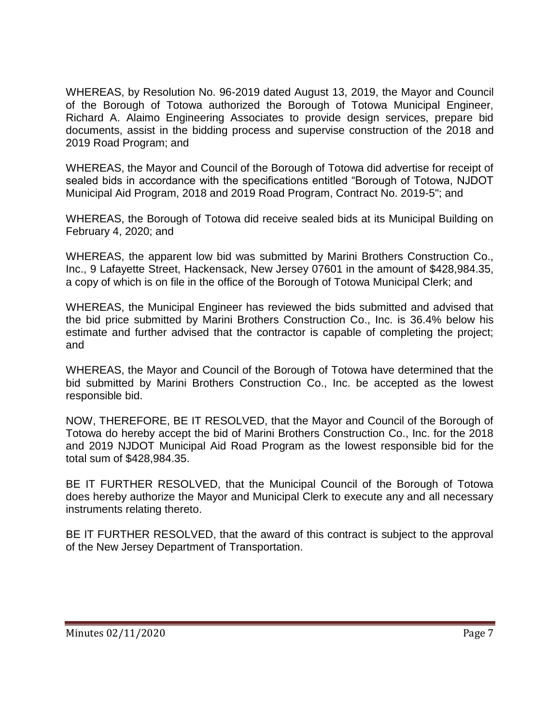WHEREAS, by Resolution No. 96-2019 dated August 13, 2019, the Mayor and Council of the Borough of Totowa authorized the Borough of Totowa Municipal Engineer, Richard A. Alaimo Engineering Associates to provide design services, prepare bid documents, assist in the bidding process and supervise construction of the 2018 and 2019 Road Program; and

WHEREAS, the Mayor and Council of the Borough of Totowa did advertise for receipt of sealed bids in accordance with the specifications entitled "Borough of Totowa, NJDOT Municipal Aid Program, 2018 and 2019 Road Program, Contract No. 2019-5"; and

WHEREAS, the Borough of Totowa did receive sealed bids at its Municipal Building on February 4, 2020; and

WHEREAS, the apparent low bid was submitted by Marini Brothers Construction Co., Inc., 9 Lafayette Street, Hackensack, New Jersey 07601 in the amount of \$428,984.35, a copy of which is on file in the office of the Borough of Totowa Municipal Clerk; and

WHEREAS, the Municipal Engineer has reviewed the bids submitted and advised that the bid price submitted by Marini Brothers Construction Co., Inc. is 36.4% below his estimate and further advised that the contractor is capable of completing the project; and

WHEREAS, the Mayor and Council of the Borough of Totowa have determined that the bid submitted by Marini Brothers Construction Co., Inc. be accepted as the lowest responsible bid.

NOW, THEREFORE, BE IT RESOLVED, that the Mayor and Council of the Borough of Totowa do hereby accept the bid of Marini Brothers Construction Co., Inc. for the 2018 and 2019 NJDOT Municipal Aid Road Program as the lowest responsible bid for the total sum of \$428,984.35.

BE IT FURTHER RESOLVED, that the Municipal Council of the Borough of Totowa does hereby authorize the Mayor and Municipal Clerk to execute any and all necessary instruments relating thereto.

BE IT FURTHER RESOLVED, that the award of this contract is subject to the approval of the New Jersey Department of Transportation.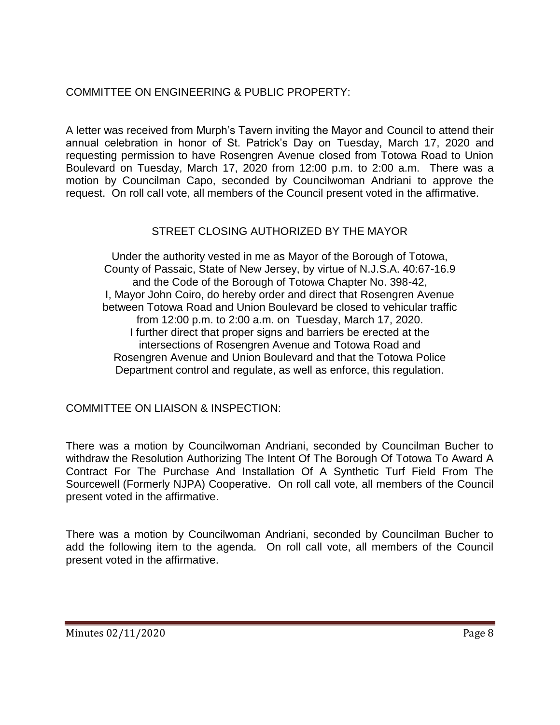# COMMITTEE ON ENGINEERING & PUBLIC PROPERTY:

A letter was received from Murph's Tavern inviting the Mayor and Council to attend their annual celebration in honor of St. Patrick's Day on Tuesday, March 17, 2020 and requesting permission to have Rosengren Avenue closed from Totowa Road to Union Boulevard on Tuesday, March 17, 2020 from 12:00 p.m. to 2:00 a.m. There was a motion by Councilman Capo, seconded by Councilwoman Andriani to approve the request. On roll call vote, all members of the Council present voted in the affirmative.

# STREET CLOSING AUTHORIZED BY THE MAYOR

Under the authority vested in me as Mayor of the Borough of Totowa, County of Passaic, State of New Jersey, by virtue of N.J.S.A. 40:67-16.9 and the Code of the Borough of Totowa Chapter No. 398-42, I, Mayor John Coiro, do hereby order and direct that Rosengren Avenue between Totowa Road and Union Boulevard be closed to vehicular traffic from 12:00 p.m. to 2:00 a.m. on Tuesday, March 17, 2020. I further direct that proper signs and barriers be erected at the intersections of Rosengren Avenue and Totowa Road and Rosengren Avenue and Union Boulevard and that the Totowa Police Department control and regulate, as well as enforce, this regulation.

COMMITTEE ON LIAISON & INSPECTION:

There was a motion by Councilwoman Andriani, seconded by Councilman Bucher to withdraw the Resolution Authorizing The Intent Of The Borough Of Totowa To Award A Contract For The Purchase And Installation Of A Synthetic Turf Field From The Sourcewell (Formerly NJPA) Cooperative. On roll call vote, all members of the Council present voted in the affirmative.

There was a motion by Councilwoman Andriani, seconded by Councilman Bucher to add the following item to the agenda. On roll call vote, all members of the Council present voted in the affirmative.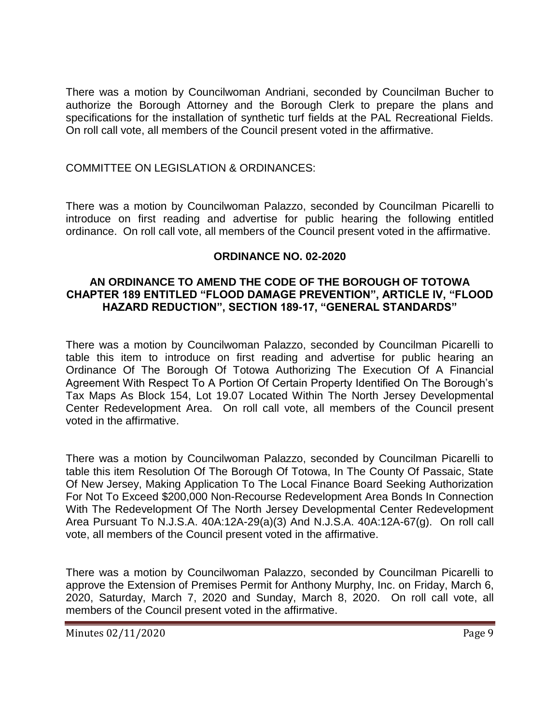There was a motion by Councilwoman Andriani, seconded by Councilman Bucher to authorize the Borough Attorney and the Borough Clerk to prepare the plans and specifications for the installation of synthetic turf fields at the PAL Recreational Fields. On roll call vote, all members of the Council present voted in the affirmative.

# COMMITTEE ON LEGISLATION & ORDINANCES:

There was a motion by Councilwoman Palazzo, seconded by Councilman Picarelli to introduce on first reading and advertise for public hearing the following entitled ordinance. On roll call vote, all members of the Council present voted in the affirmative.

#### **ORDINANCE NO. 02-2020**

#### **AN ORDINANCE TO AMEND THE CODE OF THE BOROUGH OF TOTOWA CHAPTER 189 ENTITLED "FLOOD DAMAGE PREVENTION", ARTICLE IV, "FLOOD HAZARD REDUCTION", SECTION 189-17, "GENERAL STANDARDS"**

There was a motion by Councilwoman Palazzo, seconded by Councilman Picarelli to table this item to introduce on first reading and advertise for public hearing an Ordinance Of The Borough Of Totowa Authorizing The Execution Of A Financial Agreement With Respect To A Portion Of Certain Property Identified On The Borough's Tax Maps As Block 154, Lot 19.07 Located Within The North Jersey Developmental Center Redevelopment Area. On roll call vote, all members of the Council present voted in the affirmative.

There was a motion by Councilwoman Palazzo, seconded by Councilman Picarelli to table this item Resolution Of The Borough Of Totowa, In The County Of Passaic, State Of New Jersey, Making Application To The Local Finance Board Seeking Authorization For Not To Exceed \$200,000 Non-Recourse Redevelopment Area Bonds In Connection With The Redevelopment Of The North Jersey Developmental Center Redevelopment Area Pursuant To N.J.S.A. 40A:12A-29(a)(3) And N.J.S.A. 40A:12A-67(g). On roll call vote, all members of the Council present voted in the affirmative.

There was a motion by Councilwoman Palazzo, seconded by Councilman Picarelli to approve the Extension of Premises Permit for Anthony Murphy, Inc. on Friday, March 6, 2020, Saturday, March 7, 2020 and Sunday, March 8, 2020. On roll call vote, all members of the Council present voted in the affirmative.

Minutes 02/11/2020 Page 9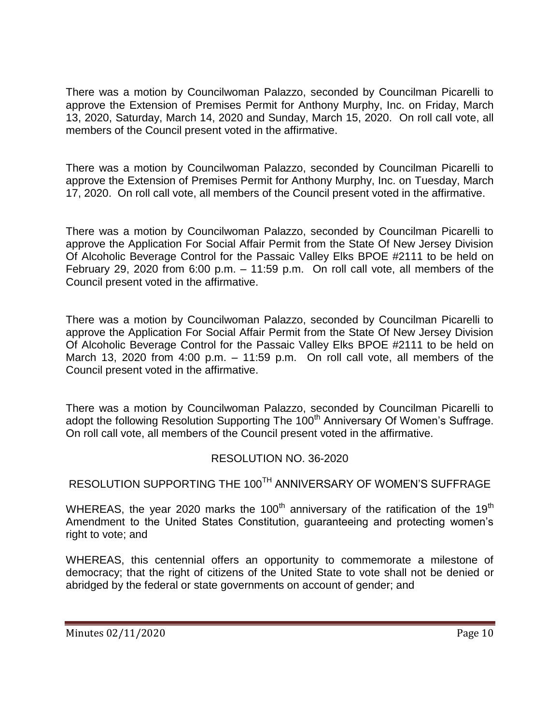There was a motion by Councilwoman Palazzo, seconded by Councilman Picarelli to approve the Extension of Premises Permit for Anthony Murphy, Inc. on Friday, March 13, 2020, Saturday, March 14, 2020 and Sunday, March 15, 2020. On roll call vote, all members of the Council present voted in the affirmative.

There was a motion by Councilwoman Palazzo, seconded by Councilman Picarelli to approve the Extension of Premises Permit for Anthony Murphy, Inc. on Tuesday, March 17, 2020. On roll call vote, all members of the Council present voted in the affirmative.

There was a motion by Councilwoman Palazzo, seconded by Councilman Picarelli to approve the Application For Social Affair Permit from the State Of New Jersey Division Of Alcoholic Beverage Control for the Passaic Valley Elks BPOE #2111 to be held on February 29, 2020 from 6:00 p.m. – 11:59 p.m. On roll call vote, all members of the Council present voted in the affirmative.

There was a motion by Councilwoman Palazzo, seconded by Councilman Picarelli to approve the Application For Social Affair Permit from the State Of New Jersey Division Of Alcoholic Beverage Control for the Passaic Valley Elks BPOE #2111 to be held on March 13, 2020 from 4:00 p.m.  $-$  11:59 p.m. On roll call vote, all members of the Council present voted in the affirmative.

There was a motion by Councilwoman Palazzo, seconded by Councilman Picarelli to adopt the following Resolution Supporting The 100<sup>th</sup> Anniversary Of Women's Suffrage. On roll call vote, all members of the Council present voted in the affirmative.

# RESOLUTION NO. 36-2020

RESOLUTION SUPPORTING THE 100<sup>TH</sup> ANNIVERSARY OF WOMEN'S SUFFRAGE

WHEREAS, the year 2020 marks the 100<sup>th</sup> anniversary of the ratification of the 19<sup>th</sup> Amendment to the United States Constitution, guaranteeing and protecting women's right to vote; and

WHEREAS, this centennial offers an opportunity to commemorate a milestone of democracy; that the right of citizens of the United State to vote shall not be denied or abridged by the federal or state governments on account of gender; and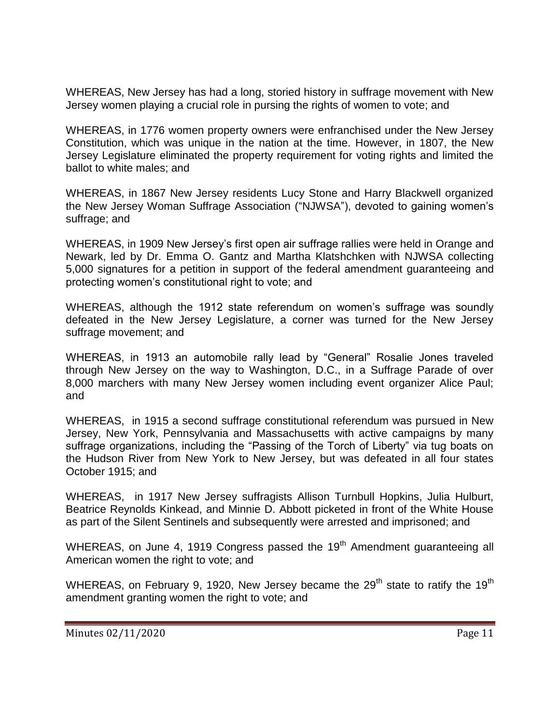WHEREAS, New Jersey has had a long, storied history in suffrage movement with New Jersey women playing a crucial role in pursing the rights of women to vote; and

WHEREAS, in 1776 women property owners were enfranchised under the New Jersey Constitution, which was unique in the nation at the time. However, in 1807, the New Jersey Legislature eliminated the property requirement for voting rights and limited the ballot to white males; and

WHEREAS, in 1867 New Jersey residents Lucy Stone and Harry Blackwell organized the New Jersey Woman Suffrage Association ("NJWSA"), devoted to gaining women's suffrage; and

WHEREAS, in 1909 New Jersey's first open air suffrage rallies were held in Orange and Newark, led by Dr. Emma O. Gantz and Martha Klatshchken with NJWSA collecting 5,000 signatures for a petition in support of the federal amendment guaranteeing and protecting women's constitutional right to vote; and

WHEREAS, although the 1912 state referendum on women's suffrage was soundly defeated in the New Jersey Legislature, a corner was turned for the New Jersey suffrage movement; and

WHEREAS, in 1913 an automobile rally lead by "General" Rosalie Jones traveled through New Jersey on the way to Washington, D.C., in a Suffrage Parade of over 8,000 marchers with many New Jersey women including event organizer Alice Paul; and

WHEREAS, in 1915 a second suffrage constitutional referendum was pursued in New Jersey, New York, Pennsylvania and Massachusetts with active campaigns by many suffrage organizations, including the "Passing of the Torch of Liberty" via tug boats on the Hudson River from New York to New Jersey, but was defeated in all four states October 1915; and

WHEREAS, in 1917 New Jersey suffragists Allison Turnbull Hopkins, Julia Hulburt, Beatrice Reynolds Kinkead, and Minnie D. Abbott picketed in front of the White House as part of the Silent Sentinels and subsequently were arrested and imprisoned; and

WHEREAS, on June 4, 1919 Congress passed the 19<sup>th</sup> Amendment guaranteeing all American women the right to vote; and

WHEREAS, on February 9, 1920, New Jersey became the  $29<sup>th</sup>$  state to ratify the 19<sup>th</sup> amendment granting women the right to vote; and